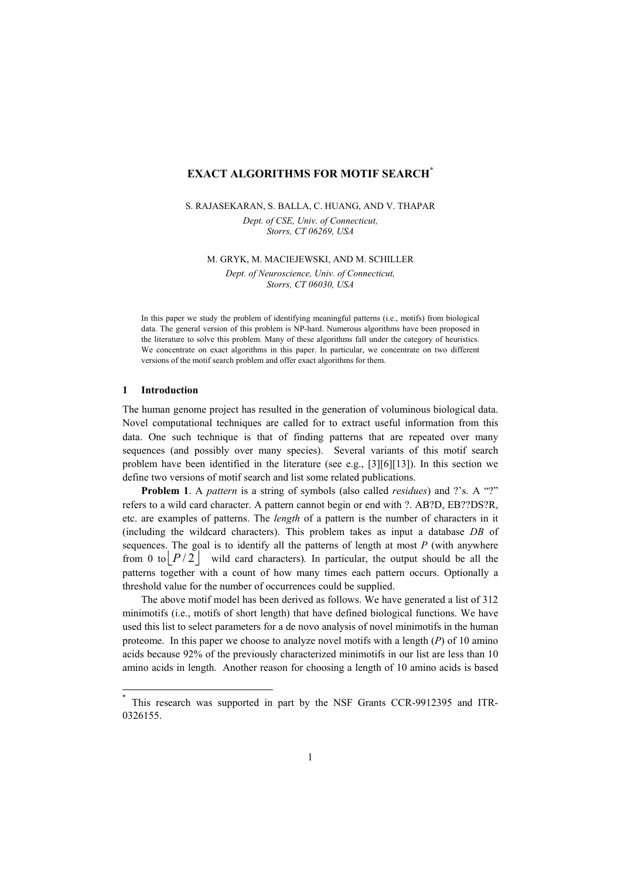## **EXACT ALGORITHMS FOR MOTIF SEARCH[\\*](#page-0-0)**

# S. RAJASEKARAN, S. BALLA, C. HUANG, AND V. THAPAR

*Dept. of CSE, Univ. of Connecticut, Storrs, CT 06269, USA*

M. GRYK, M. MACIEJEWSKI, AND M. SCHILLER

*Dept. of Neuroscience, Univ. of Connecticut, Storrs, CT 06030, USA* 

In this paper we study the problem of identifying meaningful patterns (i.e., motifs) from biological data. The general version of this problem is NP-hard. Numerous algorithms have been proposed in the literature to solve this problem. Many of these algorithms fall under the category of heuristics. We concentrate on exact algorithms in this paper. In particular, we concentrate on two different versions of the motif search problem and offer exact algorithms for them.

## **1 Introduction**

 $\overline{\phantom{a}}$ 

The human genome project has resulted in the generation of voluminous biological data. Novel computational techniques are called for to extract useful information from this data. One such technique is that of finding patterns that are repeated over many sequences (and possibly over many species). Several variants of this motif search problem have been identified in the literature (see e.g., [3][6][13]). In this section we define two versions of motif search and list some related publications.

**Problem 1**. A *pattern* is a string of symbols (also called *residues*) and ?'s. A "?" refers to a wild card character. A pattern cannot begin or end with ?. AB?D, EB??DS?R, etc. are examples of patterns. The *length* of a pattern is the number of characters in it (including the wildcard characters). This problem takes as input a database *DB* of sequences. The goal is to identify all the patterns of length at most  $P$  (with anywhere from 0 to  $\lfloor P/2 \rfloor$  wild card characters). In particular, the output should be all the patterns together with a count of how many times each pattern occurs. Optionally a threshold value for the number of occurrences could be supplied.

The above motif model has been derived as follows. We have generated a list of 312 minimotifs (i.e., motifs of short length) that have defined biological functions. We have used this list to select parameters for a de novo analysis of novel minimotifs in the human proteome. In this paper we choose to analyze novel motifs with a length (*P*) of 10 amino acids because 92% of the previously characterized minimotifs in our list are less than 10 amino acids in length. Another reason for choosing a length of 10 amino acids is based

<span id="page-0-0"></span>This research was supported in part by the NSF Grants CCR-9912395 and ITR-0326155.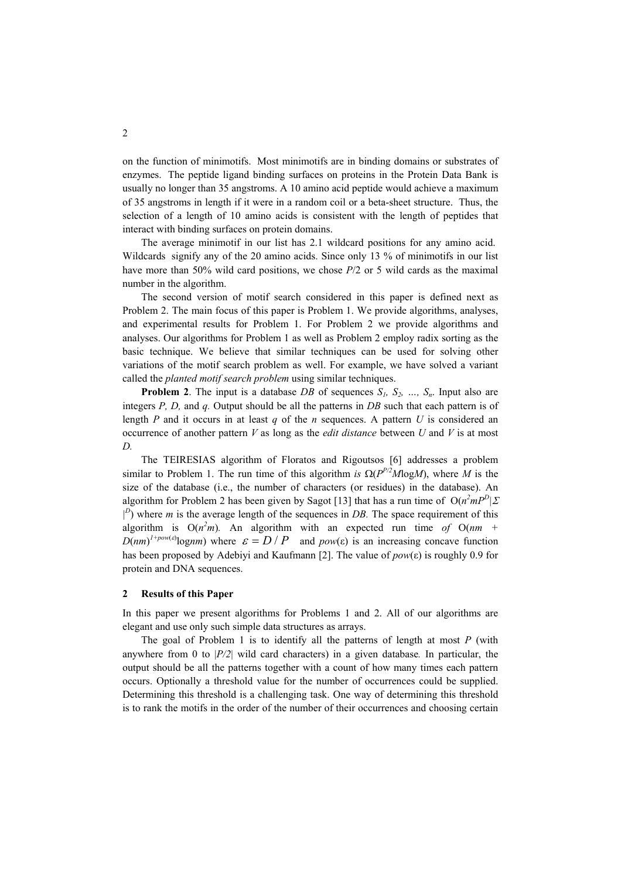on the function of minimotifs. Most minimotifs are in binding domains or substrates of enzymes. The peptide ligand binding surfaces on proteins in the Protein Data Bank is usually no longer than 35 angstroms. A 10 amino acid peptide would achieve a maximum of 35 angstroms in length if it were in a random coil or a beta-sheet structure. Thus, the selection of a length of 10 amino acids is consistent with the length of peptides that interact with binding surfaces on protein domains.

The average minimotif in our list has 2.1 wildcard positions for any amino acid. Wildcards signify any of the 20 amino acids. Since only 13 % of minimotifs in our list have more than 50% wild card positions, we chose *P*/2 or 5 wild cards as the maximal number in the algorithm.

The second version of motif search considered in this paper is defined next as Problem 2. The main focus of this paper is Problem 1. We provide algorithms, analyses, and experimental results for Problem 1. For Problem 2 we provide algorithms and analyses. Our algorithms for Problem 1 as well as Problem 2 employ radix sorting as the basic technique. We believe that similar techniques can be used for solving other variations of the motif search problem as well. For example, we have solved a variant called the *planted motif search problem* using similar techniques.

**Problem 2**. The input is a database *DB* of sequences  $S_1$ ,  $S_2$ , ...,  $S_n$ . Input also are integers *P, D,* and *q.* Output should be all the patterns in *DB* such that each pattern is of length *P* and it occurs in at least *q* of the *n* sequences. A pattern *U* is considered an occurrence of another pattern *V* as long as the *edit distance* between *U* and *V* is at most *D.* 

The TEIRESIAS algorithm of Floratos and Rigoutsos [6] addresses a problem similar to Problem 1. The run time of this algorithm *is*  $\Omega(P^{P/2}M\log M)$ , where *M* is the size of the database (i.e., the number of characters (or residues) in the database). An algorithm for Problem 2 has been given by Sagot [13] that has a run time of  $O(n^2mP^D)\Sigma$  $|^{D}$ ) where *m* is the average length of the sequences in *DB*. The space requirement of this algorithm is  $O(n^2m)$ . An algorithm with an expected run time of  $O(nm + 1)$  $D(nm)^{1+pow(\varepsilon)}$ log*nm*) where  $\varepsilon = D / P$  and  $pow(\varepsilon)$  is an increasing concave function has been proposed by Adebiyi and Kaufmann [2]. The value of *pow*(ε) is roughly 0.9 for protein and DNA sequences.

#### **2 Results of this Paper**

In this paper we present algorithms for Problems 1 and 2. All of our algorithms are elegant and use only such simple data structures as arrays.

The goal of Problem 1 is to identify all the patterns of length at most *P* (with anywhere from 0 to |*P/2*| wild card characters) in a given database*.* In particular, the output should be all the patterns together with a count of how many times each pattern occurs. Optionally a threshold value for the number of occurrences could be supplied. Determining this threshold is a challenging task. One way of determining this threshold is to rank the motifs in the order of the number of their occurrences and choosing certain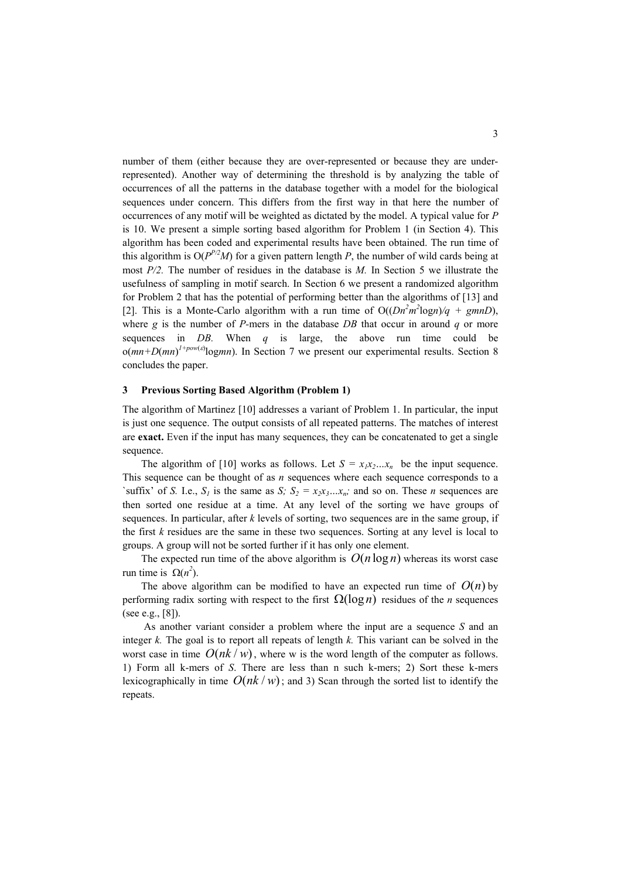number of them (either because they are over-represented or because they are underrepresented). Another way of determining the threshold is by analyzing the table of occurrences of all the patterns in the database together with a model for the biological sequences under concern. This differs from the first way in that here the number of occurrences of any motif will be weighted as dictated by the model. A typical value for *P* is 10. We present a simple sorting based algorithm for Problem 1 (in Section 4). This algorithm has been coded and experimental results have been obtained. The run time of this algorithm is  $O(P^{P/2}M)$  for a given pattern length *P*, the number of wild cards being at most *P/2.* The number of residues in the database is *M.* In Section 5 we illustrate the usefulness of sampling in motif search. In Section 6 we present a randomized algorithm for Problem 2 that has the potential of performing better than the algorithms of [13] and [2]. This is a Monte-Carlo algorithm with a run time of  $O((Dn^2m^2log n)/q + gmnD)$ , where  $g$  is the number of *P*-mers in the database *DB* that occur in around  $q$  or more sequences in *DB.* When *q* is large, the above run time could be  $o(mn+D(mn)^{1+pow(\varepsilon)}logmn)$ . In Section 7 we present our experimental results. Section 8 concludes the paper.

#### **3 Previous Sorting Based Algorithm (Problem 1)**

The algorithm of Martinez [10] addresses a variant of Problem 1. In particular, the input is just one sequence. The output consists of all repeated patterns. The matches of interest are **exact.** Even if the input has many sequences, they can be concatenated to get a single sequence.

The algorithm of [10] works as follows. Let  $S = x_1x_2...x_n$  be the input sequence. This sequence can be thought of as *n* sequences where each sequence corresponds to a 'suffix' of *S.* I.e.,  $S_l$  is the same as *S;*  $S_2 = x_2x_3...x_n$ ; and so on. These *n* sequences are then sorted one residue at a time. At any level of the sorting we have groups of sequences. In particular, after *k* levels of sorting, two sequences are in the same group, if the first *k* residues are the same in these two sequences. Sorting at any level is local to groups. A group will not be sorted further if it has only one element.

The expected run time of the above algorithm is  $O(n \log n)$  whereas its worst case run time is  $Ω(n^2)$ .

The above algorithm can be modified to have an expected run time of  $O(n)$  by performing radix sorting with respect to the first  $\Omega(\log n)$  residues of the *n* sequences (see e.g., [8]).

As another variant consider a problem where the input are a sequence *S* and an integer *k.* The goal is to report all repeats of length *k.* This variant can be solved in the worst case in time  $O(nk/w)$ , where w is the word length of the computer as follows. 1) Form all k-mers of *S*. There are less than n such k-mers; 2) Sort these k-mers lexicographically in time  $O(nk/w)$ ; and 3) Scan through the sorted list to identify the repeats.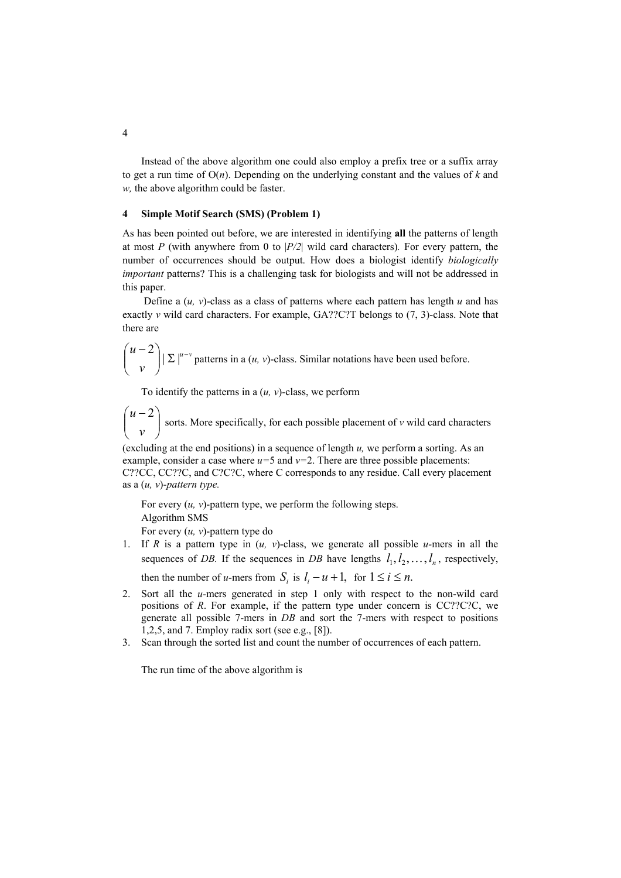Instead of the above algorithm one could also employ a prefix tree or a suffix array to get a run time of  $O(n)$ . Depending on the underlying constant and the values of *k* and *w,* the above algorithm could be faster.

## **4 Simple Motif Search (SMS) (Problem 1)**

As has been pointed out before, we are interested in identifying **all** the patterns of length at most *P* (with anywhere from 0 to |*P/2*| wild card characters)*.* For every pattern, the number of occurrences should be output. How does a biologist identify *biologically important* patterns? This is a challenging task for biologists and will not be addressed in this paper.

Define a  $(u, v)$ -class as a class of patterns where each pattern has length  $u$  and has exactly *v* wild card characters. For example, GA??C?T belongs to (7, 3)-class. Note that there are

$$
\binom{u-2}{v}|\Sigma|^{\mu-v}
$$
 patterns in a  $(u, v)$ -class. Similar notations have been used before.

To identify the patterns in a  $(u, v)$ -class, we perform

 $\overline{\phantom{a}}$ J  $\setminus$  $\overline{\phantom{a}}$  $\setminus$  $\int u$ *v*  $u-2$ sorts. More specifically, for each possible placement of *v* wild card characters

(excluding at the end positions) in a sequence of length *u,* we perform a sorting. As an example, consider a case where *u=*5 and *v=*2. There are three possible placements: C??CC, CC??C, and C?C?C, where C corresponds to any residue. Call every placement as a (*u, v*)-*pattern type.* 

For every (*u, v*)-pattern type, we perform the following steps. Algorithm SMS

For every (*u, v*)-pattern type do

1. If *R* is a pattern type in (*u, v*)-class, we generate all possible *u-*mers in all the sequences of *DB*. If the sequences in *DB* have lengths  $l_1, l_2, \ldots, l_n$ , respectively,

then the number of *u*-mers from  $S_i$  is  $l_i - u + 1$ , for  $1 \le i \le n$ .

- 2. Sort all the *u-*mers generated in step 1 only with respect to the non-wild card positions of *R*. For example, if the pattern type under concern is CC??C?C, we generate all possible 7-mers in *DB* and sort the 7-mers with respect to positions 1,2,5, and 7. Employ radix sort (see e.g., [8]).
- 3. Scan through the sorted list and count the number of occurrences of each pattern.

The run time of the above algorithm is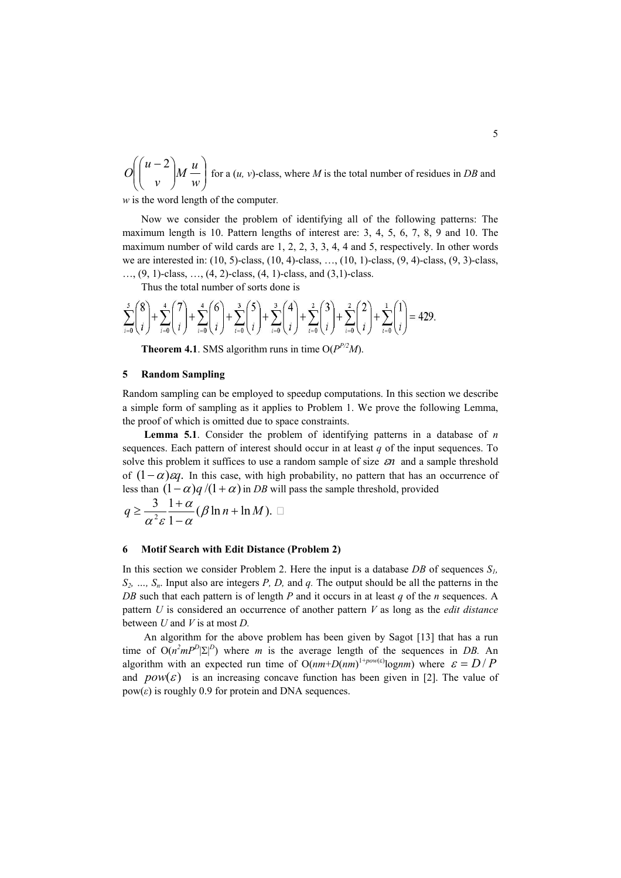$\overline{\phantom{a}}$ J  $\backslash$  $\overline{\phantom{a}}$  $\setminus$ ſ  $\overline{\phantom{a}}$ J  $\setminus$  $\overline{\phantom{a}}$  $\setminus$  $\left(u - \right)$ *w*  $M^{\frac{u}{c}}$ *v u O* 2 for a (*u, v*)-class, where *M* is the total number of residues in *DB* and

*w* is the word length of the computer*.* 

Now we consider the problem of identifying all of the following patterns: The maximum length is 10. Pattern lengths of interest are: 3, 4, 5, 6, 7, 8, 9 and 10. The maximum number of wild cards are 1, 2, 2, 3, 3, 4, 4 and 5, respectively. In other words we are interested in: (10, 5)-class, (10, 4)-class, …, (10, 1)-class, (9, 4)-class, (9, 3)-class,  $..., (9, 1)$ -class,  $..., (4, 2)$ -class,  $(4, 1)$ -class, and  $(3,1)$ -class.

Thus the total number of sorts done is

$$
\sum_{i=0}^{5} {8 \choose i} + \sum_{i=0}^{4} {7 \choose i} + \sum_{i=0}^{4} {6 \choose i} + \sum_{i=0}^{3} {5 \choose i} + \sum_{i=0}^{3} {4 \choose i} + \sum_{i=0}^{2} {3 \choose i} + \sum_{i=0}^{2} {2 \choose i} + \sum_{i=0}^{1} {1 \choose i} = 429.
$$

**Theorem 4.1**. SMS algorithm runs in time  $O(P^{P/2}M)$ .

#### **5 Random Sampling**

Random sampling can be employed to speedup computations. In this section we describe a simple form of sampling as it applies to Problem 1. We prove the following Lemma, the proof of which is omitted due to space constraints.

**Lemma 5.1**. Consider the problem of identifying patterns in a database of *n*  sequences. Each pattern of interest should occur in at least *q* of the input sequences. To solve this problem it suffices to use a random sample of size ε*n* and a sample threshold of  $(1-\alpha)\epsilon q$ . In this case, with high probability, no pattern that has an occurrence of less than  $(1 - \alpha)q/(1 + \alpha)$  in *DB* will pass the sample threshold, provided

$$
q \geq \frac{3}{\alpha^2 \varepsilon} \frac{1+\alpha}{1-\alpha} (\beta \ln n + \ln M). \square
$$

#### **6 Motif Search with Edit Distance (Problem 2)**

In this section we consider Problem 2. Here the input is a database  $DB$  of sequences  $S_l$ , *S2, …, Sn*. Input also are integers *P, D,* and *q.* The output should be all the patterns in the *DB* such that each pattern is of length *P* and it occurs in at least *q* of the *n* sequences. A pattern *U* is considered an occurrence of another pattern *V* as long as the *edit distance*  between *U* and *V* is at most *D.*

An algorithm for the above problem has been given by Sagot [13] that has a run time of  $O(n^2mP^D|\Sigma|^D)$  where *m* is the average length of the sequences in *DB*. An algorithm with an expected run time of  $O(nm+D(nm))^{1+pow(\epsilon)}lognm$ ) where  $\epsilon = D/P$ and  $pow(\varepsilon)$  is an increasing concave function has been given in [2]. The value of  $pow(\varepsilon)$  is roughly 0.9 for protein and DNA sequences.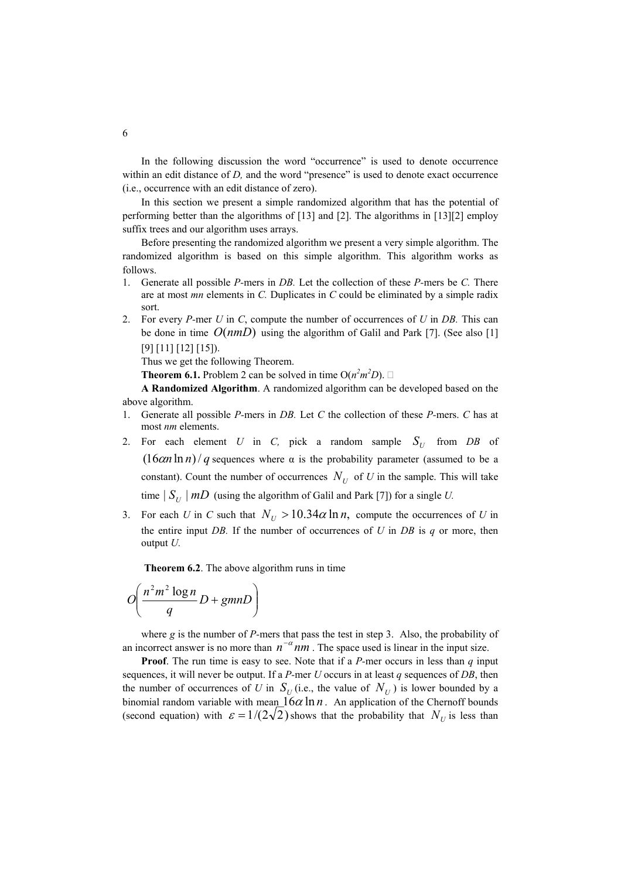In the following discussion the word "occurrence" is used to denote occurrence within an edit distance of *D*, and the word "presence" is used to denote exact occurrence (i.e., occurrence with an edit distance of zero).

In this section we present a simple randomized algorithm that has the potential of performing better than the algorithms of [13] and [2]. The algorithms in [13][2] employ suffix trees and our algorithm uses arrays.

Before presenting the randomized algorithm we present a very simple algorithm. The randomized algorithm is based on this simple algorithm. This algorithm works as follows.

- 1. Generate all possible *P-*mers in *DB.* Let the collection of these *P-*mers be *C.* There are at most *mn* elements in *C.* Duplicates in *C* could be eliminated by a simple radix sort.
- 2. For every *P-*mer *U* in *C*, compute the number of occurrences of *U* in *DB.* This can be done in time  $O(nmD)$  using the algorithm of Galil and Park [7]. (See also [1] [9] [11] [12] [15]).

Thus we get the following Theorem.

**Theorem 6.1.** Problem 2 can be solved in time  $O(n^2m^2D)$ .

**A Randomized Algorithm**. A randomized algorithm can be developed based on the above algorithm.

- 1. Generate all possible *P-*mers in *DB.* Let *C* the collection of these *P-*mers. *C* has at most *nm* elements.
- 2. For each element *U* in *C*, pick a random sample  $S_U$  from *DB* of  $(16\alpha n \ln n)/q$  sequences where  $\alpha$  is the probability parameter (assumed to be a constant). Count the number of occurrences  $N_U$  of U in the sample. This will take time  $|S_U|$  *mD* (using the algorithm of Galil and Park [7]) for a single *U*.
- 3. For each *U* in *C* such that  $N_U > 10.34\alpha \ln n$ , compute the occurrences of *U* in the entire input *DB.* If the number of occurrences of *U* in *DB* is *q* or more, then output *U.*

**Theorem 6.2**. The above algorithm runs in time

$$
O\left(\frac{n^2m^2\log n}{q}D + gmnD\right)
$$

where *g* is the number of *P*-mers that pass the test in step 3. Also, the probability of an incorrect answer is no more than  $n^{-\alpha}$  *nm*. The space used is linear in the input size.

**Proof**. The run time is easy to see. Note that if a *P-*mer occurs in less than *q* input sequences, it will never be output. If a *P-*mer *U* occurs in at least *q* sequences of *DB*, then the number of occurrences of *U* in  $S_U$  (i.e., the value of  $N_U$ ) is lower bounded by a binomial random variable with mean  $16\alpha \ln n$ . An application of the Chernoff bounds (second equation) with  $\varepsilon = 1/(2\sqrt{2})$  shows that the probability that  $N_U$  is less than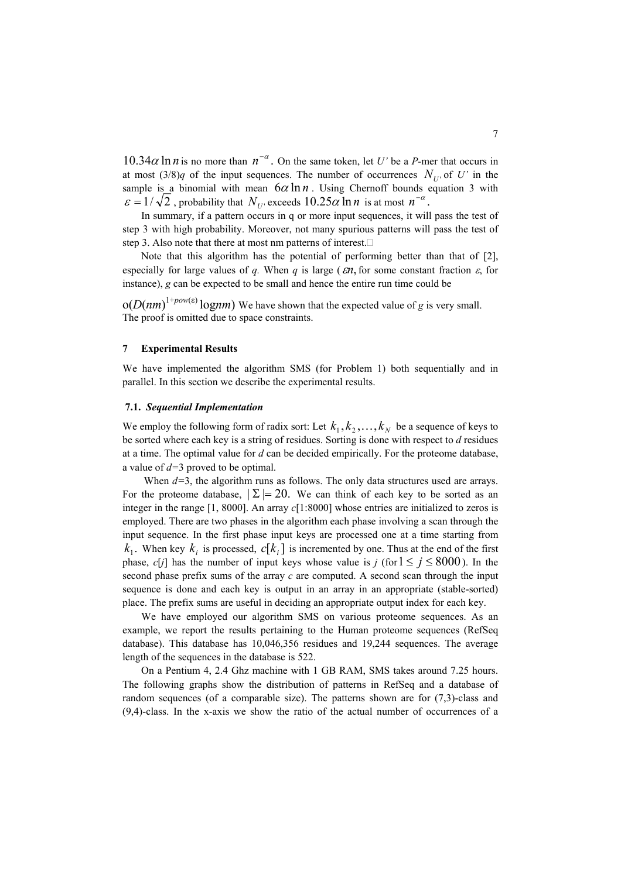$10.34\alpha \ln n$  is no more than  $n^{-\alpha}$ . On the same token, let *U'* be a *P*-mer that occurs in at most  $(3/8)q$  of the input sequences. The number of occurrences  $N_{U}$  of U' in the sample is a binomial with mean  $6\alpha \ln n$ . Using Chernoff bounds equation 3 with  $\varepsilon = 1/\sqrt{2}$ , probability that  $N_{U}$  exceeds  $10.25\alpha \ln n$  is at most  $n^{-\alpha}$ .

In summary, if a pattern occurs in q or more input sequences, it will pass the test of step 3 with high probability. Moreover, not many spurious patterns will pass the test of step 3. Also note that there at most nm patterns of interest.

especially for large values of *q*. When *q* is large ( $\epsilon n$ , for some constant fraction  $\epsilon$ , for Note that this algorithm has the potential of performing better than that of [2], instance), *g* can be expected to be small and hence the entire run time could be

 $o(D(nm)^{1+pow(\varepsilon)} log nm)$  We have shown that the expected value of *g* is very small. The proof is omitted due to space constraints.

#### **7 Experimental Results**

We have implemented the algorithm SMS (for Problem 1) both sequentially and in parallel. In this section we describe the experimental results.

## **7.1.** *Sequential Implementation*

We employ the following form of radix sort: Let  $k_1, k_2, ..., k_N$  be a sequence of keys to be sorted where each key is a string of residues. Sorting is done with respect to *d* residues at a time. The optimal value for *d* can be decided empirically. For the proteome database, a value of *d=*3 proved to be optimal.

For the proteome database,  $\Sigma = 20$ . We can think of each key to be sorted as an  $k_1$ . When key  $k_i$  is processed,  $c[k_i]$  is incremented by one. Thus at the end of the first phase, *c*[*j*] has the number of input keys whose value is *j* (for  $1 \le j \le 8000$ ). In the When  $d=3$ , the algorithm runs as follows. The only data structures used are arrays. integer in the range [1, 8000]. An array *c*[1:8000] whose entries are initialized to zeros is employed. There are two phases in the algorithm each phase involving a scan through the input sequence. In the first phase input keys are processed one at a time starting from second phase prefix sums of the array *c* are computed. A second scan through the input sequence is done and each key is output in an array in an appropriate (stable-sorted) place. The prefix sums are useful in deciding an appropriate output index for each key.

We have employed our algorithm SMS on various proteome sequences. As an example, we report the results pertaining to the Human proteome sequences (RefSeq database). This database has 10,046,356 residues and 19,244 sequences. The average length of the sequences in the database is 522.

On a Pentium 4, 2.4 Ghz machine with 1 GB RAM, SMS takes around 7.25 hours. The following graphs show the distribution of patterns in RefSeq and a database of random sequences (of a comparable size). The patterns shown are for (7,3)-class and (9,4)-class. In the x-axis we show the ratio of the actual number of occurrences of a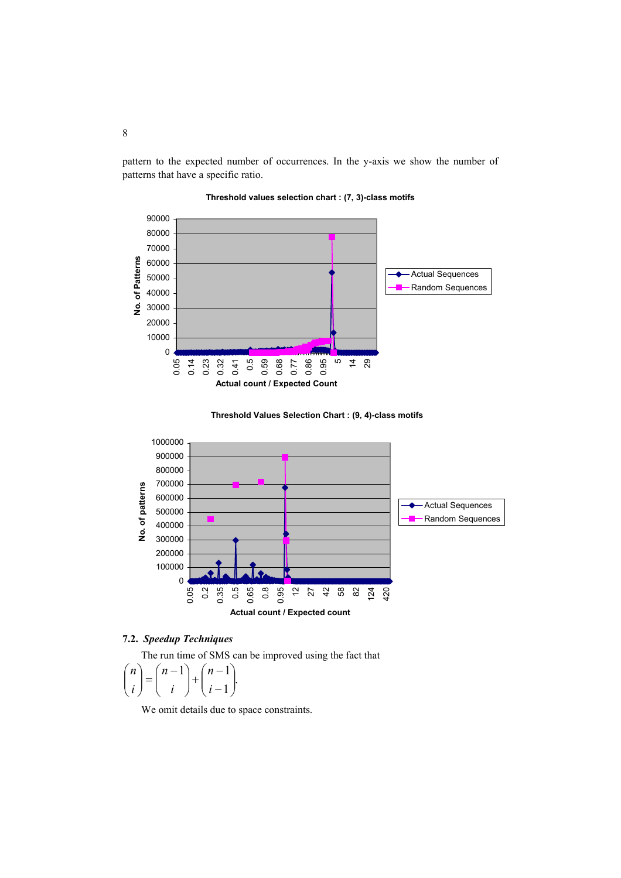pattern to the expected number of occurrences. In the y-axis we show the number of patterns that have a specific ratio.









## **7.2.** *Speedup Techniques*

The run time of SMS can be improved using the fact that

$$
\binom{n}{i} = \binom{n-1}{i} + \binom{n-1}{i-1}.
$$

We omit details due to space constraints.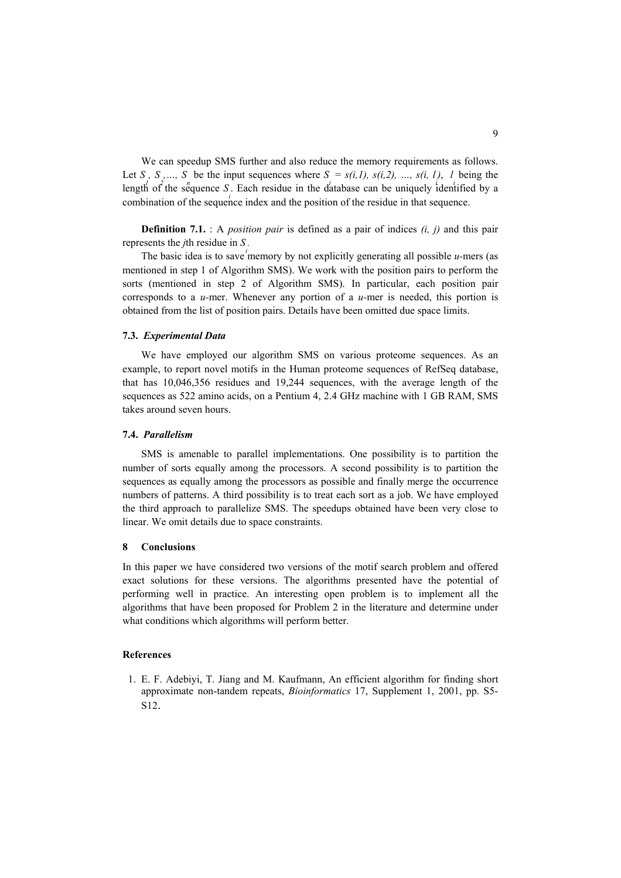We can speedup SMS further and also reduce the memory requirements as follows. Let *S*, *S*, ..., *S* be the input sequences where  $S = s(i,1)$ ,  $s(i,2)$ , ...,  $s(i, 1)$ , *l* being the length of the sequence *S*. Each residue in the database can be uniquely identified by a combination of the sequence index and the position of the residue in that sequence.

**Definition 7.1.** : A *position pair* is defined as a pair of indices *(i, j)* and this pair represents the *j*th residue in *S .* 

The basic idea is to save memory by not explicitly generating all possible *u*-mers (as mentioned in step 1 of Algorithm SMS). We work with the position pairs to perform the sorts (mentioned in step 2 of Algorithm SMS). In particular, each position pair corresponds to a *u-*mer. Whenever any portion of a *u-*mer is needed, this portion is obtained from the list of position pairs. Details have been omitted due space limits.

#### **7.3.** *Experimental Data*

We have employed our algorithm SMS on various proteome sequences. As an example, to report novel motifs in the Human proteome sequences of RefSeq database, that has 10,046,356 residues and 19,244 sequences, with the average length of the sequences as 522 amino acids, on a Pentium 4, 2.4 GHz machine with 1 GB RAM, SMS takes around seven hours.

#### **7.4.** *Parallelism*

SMS is amenable to parallel implementations. One possibility is to partition the number of sorts equally among the processors. A second possibility is to partition the sequences as equally among the processors as possible and finally merge the occurrence numbers of patterns. A third possibility is to treat each sort as a job. We have employed the third approach to parallelize SMS. The speedups obtained have been very close to linear. We omit details due to space constraints.

#### **8 Conclusions**

In this paper we have considered two versions of the motif search problem and offered exact solutions for these versions. The algorithms presented have the potential of performing well in practice. An interesting open problem is to implement all the algorithms that have been proposed for Problem 2 in the literature and determine under what conditions which algorithms will perform better.

## **References**

1. E. F. Adebiyi, T. Jiang and M. Kaufmann, An efficient algorithm for finding short approximate non-tandem repeats, *Bioinformatics* 17, Supplement 1, 2001, pp. S5- S12.